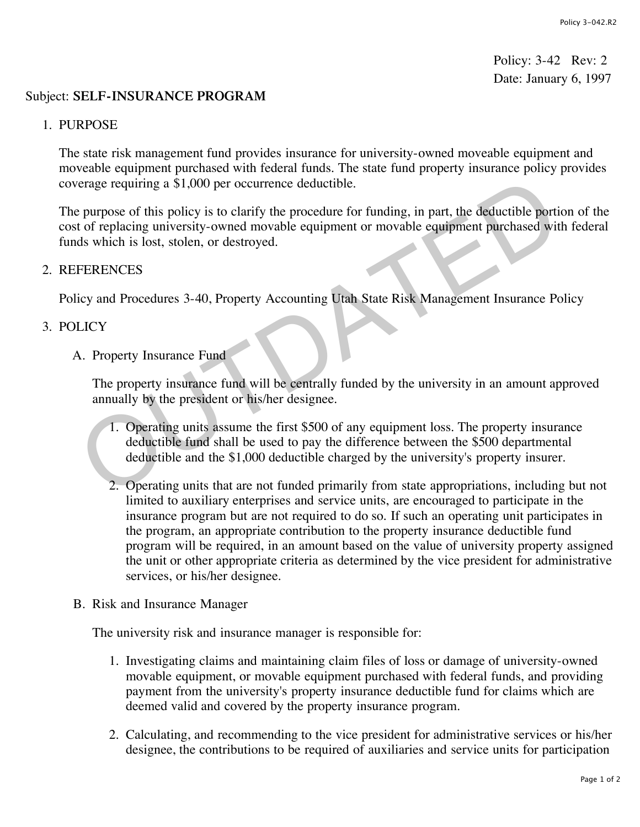Policy: 3-42 Rev: 2 Date: January 6, 1997

## Subject: **SELF-INSURANCE PROGRAM**

## 1. PURPOSE

The state risk management fund provides insurance for university-owned moveable equipment and moveable equipment purchased with federal funds. The state fund property insurance policy provides coverage requiring a \$1,000 per occurrence deductible.

The purpose of this policy is to clarify the procedure for funding, in part, the deductible portion of the cost of replacing university-owned movable equipment or movable equipment purchased with federal funds which is lost, stolen, or destroyed. The purpose of this policy is to clarify the procedure for funding, in part, the deductible portical compares of this policy is to clarify the procedure for funding, in part, the deductible portical of replacing university

## 2. REFERENCES

Policy and Procedures 3-40, Property Accounting Utah State Risk Management Insurance Policy

## 3. POLICY

A. Property Insurance Fund

The property insurance fund will be centrally funded by the university in an amount approved annually by the president or his/her designee.

- 1. Operating units assume the first \$500 of any equipment loss. The property insurance deductible fund shall be used to pay the difference between the \$500 departmental deductible and the \$1,000 deductible charged by the university's property insurer.
- 2. Operating units that are not funded primarily from state appropriations, including but not limited to auxiliary enterprises and service units, are encouraged to participate in the insurance program but are not required to do so. If such an operating unit participates in the program, an appropriate contribution to the property insurance deductible fund program will be required, in an amount based on the value of university property assigned the unit or other appropriate criteria as determined by the vice president for administrative services, or his/her designee.
- B. Risk and Insurance Manager

The university risk and insurance manager is responsible for:

- 1. Investigating claims and maintaining claim files of loss or damage of university-owned movable equipment, or movable equipment purchased with federal funds, and providing payment from the university's property insurance deductible fund for claims which are deemed valid and covered by the property insurance program.
- 2. Calculating, and recommending to the vice president for administrative services or his/her designee, the contributions to be required of auxiliaries and service units for participation